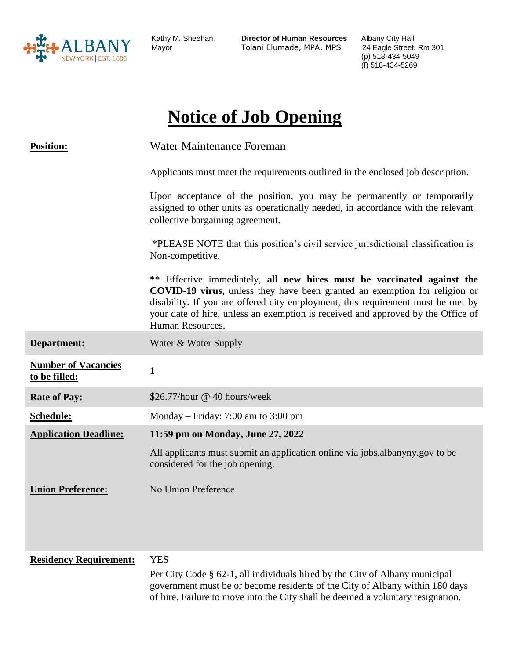

Kathy M. Sheehan **Director of Human Resources** Albany City Hall Tolani Elumade, MPA, MPS 24 Eagle Street, Rm 301

(p) 518-434-5049 (f) 518-434-5269

# **Notice of Job Opening**

| <b>Position:</b>                            | Water Maintenance Foreman                                                                                                                                                                                                                                                                                                                              |
|---------------------------------------------|--------------------------------------------------------------------------------------------------------------------------------------------------------------------------------------------------------------------------------------------------------------------------------------------------------------------------------------------------------|
|                                             | Applicants must meet the requirements outlined in the enclosed job description.                                                                                                                                                                                                                                                                        |
|                                             | Upon acceptance of the position, you may be permanently or temporarily<br>assigned to other units as operationally needed, in accordance with the relevant<br>collective bargaining agreement.                                                                                                                                                         |
|                                             | *PLEASE NOTE that this position's civil service jurisdictional classification is<br>Non-competitive.                                                                                                                                                                                                                                                   |
|                                             | ** Effective immediately, all new hires must be vaccinated against the<br><b>COVID-19 virus,</b> unless they have been granted an exemption for religion or<br>disability. If you are offered city employment, this requirement must be met by<br>your date of hire, unless an exemption is received and approved by the Office of<br>Human Resources. |
| Department:                                 | Water & Water Supply                                                                                                                                                                                                                                                                                                                                   |
| <b>Number of Vacancies</b><br>to be filled: | $\mathbf{1}$                                                                                                                                                                                                                                                                                                                                           |
| <b>Rate of Pay:</b>                         | \$26.77/hour @ 40 hours/week                                                                                                                                                                                                                                                                                                                           |
| Schedule:                                   | Monday – Friday: 7:00 am to 3:00 pm                                                                                                                                                                                                                                                                                                                    |
| <b>Application Deadline:</b>                | 11:59 pm on Monday, June 27, 2022                                                                                                                                                                                                                                                                                                                      |
|                                             | All applicants must submit an application online via jobs. albanyny. gov to be<br>considered for the job opening.                                                                                                                                                                                                                                      |
| <b>Union Preference:</b>                    | No Union Preference                                                                                                                                                                                                                                                                                                                                    |
| <b>Residency Requirement:</b>               | <b>YES</b>                                                                                                                                                                                                                                                                                                                                             |
|                                             | Per City Code § 62-1, all individuals hired by the City of Albany municipal<br>government must be or become residents of the City of Albany within 180 days<br>of hire. Failure to move into the City shall be deemed a voluntary resignation.                                                                                                         |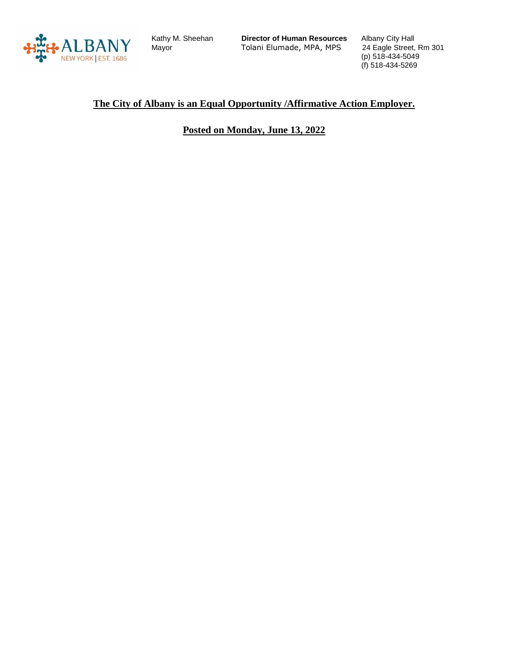

Kathy M. Sheehan

Kathy M. Sheehan **Director of Human Resources** Albany City Hall Tolani Elumade, MPA, MPS

(p) 518-434-5049 (f) 518-434-5269

#### **The City of Albany is an Equal Opportunity /Affirmative Action Employer.**

## **Posted on Monday, June 13, 2022**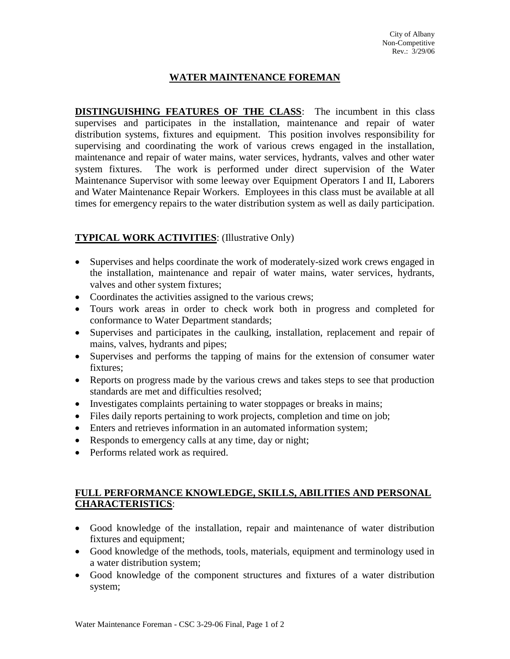## **WATER MAINTENANCE FOREMAN**

**DISTINGUISHING FEATURES OF THE CLASS**: The incumbent in this class supervises and participates in the installation, maintenance and repair of water distribution systems, fixtures and equipment. This position involves responsibility for supervising and coordinating the work of various crews engaged in the installation, maintenance and repair of water mains, water services, hydrants, valves and other water system fixtures. The work is performed under direct supervision of the Water Maintenance Supervisor with some leeway over Equipment Operators I and II, Laborers and Water Maintenance Repair Workers. Employees in this class must be available at all times for emergency repairs to the water distribution system as well as daily participation.

## **TYPICAL WORK ACTIVITIES**: (Illustrative Only)

- Supervises and helps coordinate the work of moderately-sized work crews engaged in the installation, maintenance and repair of water mains, water services, hydrants, valves and other system fixtures;
- Coordinates the activities assigned to the various crews;
- Tours work areas in order to check work both in progress and completed for conformance to Water Department standards;
- Supervises and participates in the caulking, installation, replacement and repair of mains, valves, hydrants and pipes;
- Supervises and performs the tapping of mains for the extension of consumer water fixtures;
- Reports on progress made by the various crews and takes steps to see that production standards are met and difficulties resolved;
- Investigates complaints pertaining to water stoppages or breaks in mains;
- Files daily reports pertaining to work projects, completion and time on job;
- Enters and retrieves information in an automated information system;
- Responds to emergency calls at any time, day or night;
- Performs related work as required.

### **FULL PERFORMANCE KNOWLEDGE, SKILLS, ABILITIES AND PERSONAL CHARACTERISTICS**:

- Good knowledge of the installation, repair and maintenance of water distribution fixtures and equipment;
- Good knowledge of the methods, tools, materials, equipment and terminology used in a water distribution system;
- Good knowledge of the component structures and fixtures of a water distribution system;